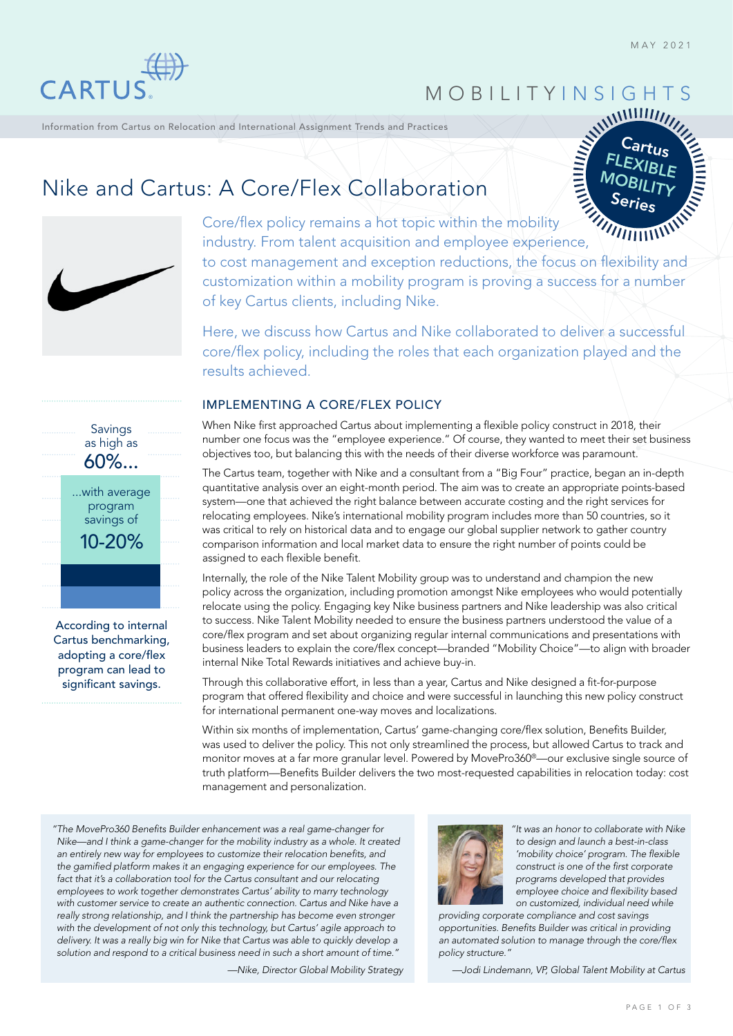Cartus FLEXIBLE **MOBILITY** Series

 $MIIIII$ 



MOBILITY INSIGHTS

Information from Cartus on Relocation and International Assignment Trends and Practices

# Nike and Cartus: A Core/Flex Collaboration



Core/flex policy remains a hot topic within the mobility industry. From talent acquisition and employee experience, to cost management and exception reductions, the focus on flexibility and customization within a mobility program is proving a success for a number of key Cartus clients, including Nike.

Here, we discuss how Cartus and Nike collaborated to deliver a successful core/flex policy, including the roles that each organization played and the results achieved.

### IMPLEMENTING A CORE/FLEX POLICY

When Nike first approached Cartus about implementing a flexible policy construct in 2018, their number one focus was the "employee experience." Of course, they wanted to meet their set business objectives too, but balancing this with the needs of their diverse workforce was paramount.

The Cartus team, together with Nike and a consultant from a "Big Four" practice, began an in-depth quantitative analysis over an eight-month period. The aim was to create an appropriate points-based system—one that achieved the right balance between accurate costing and the right services for relocating employees. Nike's international mobility program includes more than 50 countries, so it was critical to rely on historical data and to engage our global supplier network to gather country comparison information and local market data to ensure the right number of points could be assigned to each flexible benefit.

Internally, the role of the Nike Talent Mobility group was to understand and champion the new policy across the organization, including promotion amongst Nike employees who would potentially relocate using the policy. Engaging key Nike business partners and Nike leadership was also critical to success. Nike Talent Mobility needed to ensure the business partners understood the value of a core/flex program and set about organizing regular internal communications and presentations with business leaders to explain the core/flex concept—branded "Mobility Choice"—to align with broader internal Nike Total Rewards initiatives and achieve buy-in.

Through this collaborative effort, in less than a year, Cartus and Nike designed a fit-for-purpose program that offered flexibility and choice and were successful in launching this new policy construct for international permanent one-way moves and localizations.

Within six months of implementation, Cartus' game-changing core/flex solution, Benefits Builder, was used to deliver the policy. This not only streamlined the process, but allowed Cartus to track and monitor moves at a far more granular level. Powered by MovePro360®—our exclusive single source of truth platform—Benefits Builder delivers the two most-requested capabilities in relocation today: cost management and personalization.

*"The MovePro360 Benefits Builder enhancement was a real game-changer for Nike—and I think a game-changer for the mobility industry as a whole. It created an entirely new way for employees to customize their relocation benefits, and the gamified platform makes it an engaging experience for our employees. The*  fact that it's a collaboration tool for the Cartus consultant and our relocating *employees to work together demonstrates Cartus' ability to marry technology with customer service to create an authentic connection. Cartus and Nike have a really strong relationship, and I think the partnership has become even stronger with the development of not only this technology, but Cartus' agile approach to delivery. It was a really big win for Nike that Cartus was able to quickly develop a solution and respond to a critical business need in such a short amount of time."*

*—Nike, Director Global Mobility Strategy*



*"It was an honor to collaborate with Nike to design and launch a best-in-class 'mobility choice' program. The flexible construct is one of the first corporate programs developed that provides employee choice and flexibility based on customized, individual need while*

*providing corporate compliance and cost savings opportunities. Benefits Builder was critical in providing an automated solution to manage through the core/flex policy structure."*

*—Jodi Lindemann, VP, Global Talent Mobility at Cartus*



According to internal Cartus benchmarking, adopting a core/flex program can lead to significant savings.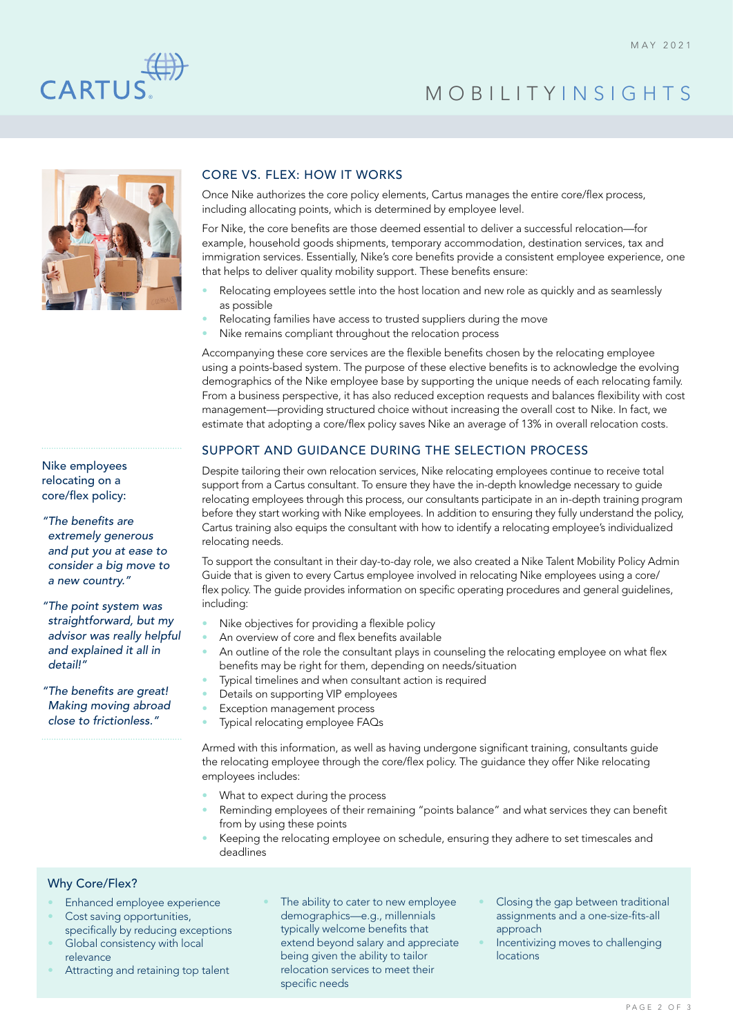

# MOBILITY INSIGHTS



Nike employees relocating on a core/flex policy:

*"The benefits are extremely generous and put you at ease to consider a big move to a new country."*

*"The point system was straightforward, but my advisor was really helpful and explained it all in detail!"*

*"The benefits are great! Making moving abroad close to frictionless."*

## CORE VS. FLEX: HOW IT WORKS

Once Nike authorizes the core policy elements, Cartus manages the entire core/flex process, including allocating points, which is determined by employee level.

For Nike, the core benefits are those deemed essential to deliver a successful relocation—for example, household goods shipments, temporary accommodation, destination services, tax and immigration services. Essentially, Nike's core benefits provide a consistent employee experience, one that helps to deliver quality mobility support. These benefits ensure:

- Relocating employees settle into the host location and new role as quickly and as seamlessly as possible
- Relocating families have access to trusted suppliers during the move
- Nike remains compliant throughout the relocation process

Accompanying these core services are the flexible benefits chosen by the relocating employee using a points-based system. The purpose of these elective benefits is to acknowledge the evolving demographics of the Nike employee base by supporting the unique needs of each relocating family. From a business perspective, it has also reduced exception requests and balances flexibility with cost management—providing structured choice without increasing the overall cost to Nike. In fact, we estimate that adopting a core/flex policy saves Nike an average of 13% in overall relocation costs.

### SUPPORT AND GUIDANCE DURING THE SELECTION PROCESS

Despite tailoring their own relocation services, Nike relocating employees continue to receive total support from a Cartus consultant. To ensure they have the in-depth knowledge necessary to guide relocating employees through this process, our consultants participate in an in-depth training program before they start working with Nike employees. In addition to ensuring they fully understand the policy, Cartus training also equips the consultant with how to identify a relocating employee's individualized relocating needs.

To support the consultant in their day-to-day role, we also created a Nike Talent Mobility Policy Admin Guide that is given to every Cartus employee involved in relocating Nike employees using a core/ flex policy. The quide provides information on specific operating procedures and general guidelines, including:

- Nike objectives for providing a flexible policy
- An overview of core and flex benefits available
- An outline of the role the consultant plays in counseling the relocating employee on what flex benefits may be right for them, depending on needs/situation
- Typical timelines and when consultant action is required
- Details on supporting VIP employees
- Exception management process
- Typical relocating employee FAQs

Armed with this information, as well as having undergone significant training, consultants guide the relocating employee through the core/flex policy. The guidance they offer Nike relocating employees includes:

- What to expect during the process
- Reminding employees of their remaining "points balance" and what services they can benefit from by using these points
- Keeping the relocating employee on schedule, ensuring they adhere to set timescales and deadlines

## Why Core/Flex?

- Enhanced employee experience
- Cost saving opportunities, specifically by reducing exceptions
- Global consistency with local relevance
- Attracting and retaining top talent
- The ability to cater to new employee demographics—e.g., millennials typically welcome benefits that extend beyond salary and appreciate being given the ability to tailor relocation services to meet their specific needs
- Closing the gap between traditional assignments and a one-size-fits-all approach
- Incentivizing moves to challenging locations